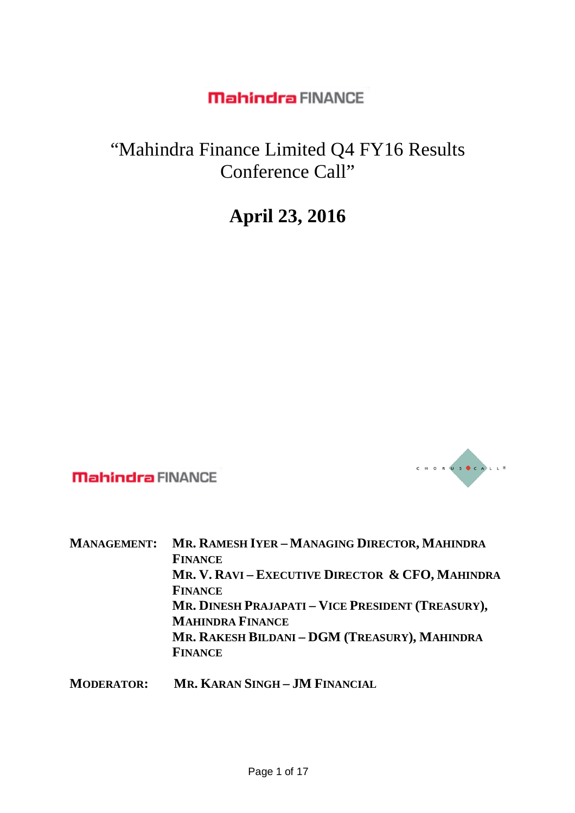# "Mahindra Finance Limited Q4 FY16 Results Conference Call"

# **April 23, 2016**



**Mahindra FINANCE** 

| <b>MANAGEMENT:</b> | MR. RAMESH IYER - MANAGING DIRECTOR, MAHINDRA                                           |
|--------------------|-----------------------------------------------------------------------------------------|
|                    | <b>FINANCE</b>                                                                          |
|                    | MR. V. RAVI – EXECUTIVE DIRECTOR & CFO, MAHINDRA                                        |
|                    | <b>FINANCE</b>                                                                          |
|                    | MR. DINESH PRAJAPATI - VICE PRESIDENT (TREASURY),                                       |
|                    | <b>MAHINDRA FINANCE</b>                                                                 |
|                    | MR. RAKESH BILDANI - DGM (TREASURY), MAHINDRA                                           |
|                    | <b>FINANCE</b>                                                                          |
| $M$ opppinopi      | $M_{\rm B}$ , $V_{\rm AB}$ is $\Omega_{\rm B}$ and $\Omega_{\rm B}$ is $\Omega_{\rm B}$ |

**MODERATOR: MR. KARAN SINGH – JM FINANCIAL**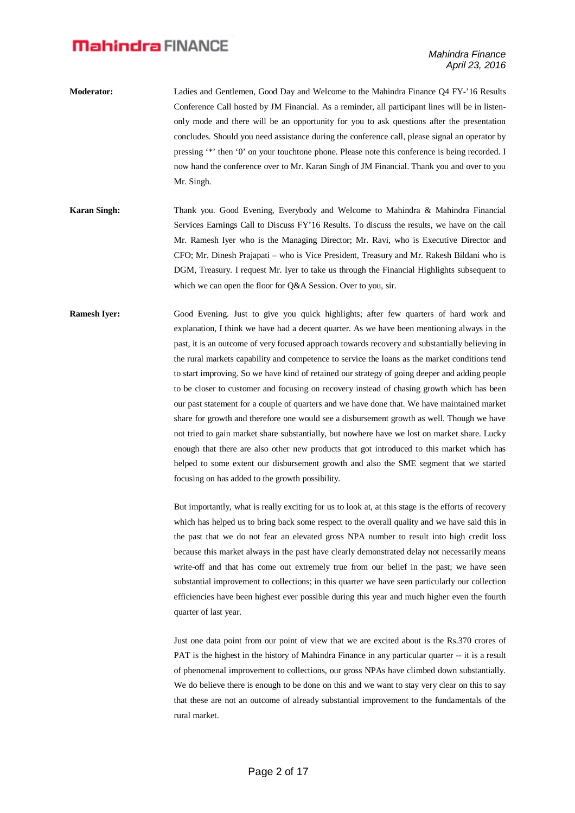- **Moderator:** Ladies and Gentlemen, Good Day and Welcome to the Mahindra Finance Q4 FY-'16 Results Conference Call hosted by JM Financial. As a reminder, all participant lines will be in listenonly mode and there will be an opportunity for you to ask questions after the presentation concludes. Should you need assistance during the conference call, please signal an operator by pressing '\*' then '0' on your touchtone phone. Please note this conference is being recorded. I now hand the conference over to Mr. Karan Singh of JM Financial. Thank you and over to you Mr. Singh.
- **Karan Singh:** Thank you. Good Evening, Everybody and Welcome to Mahindra & Mahindra Financial Services Earnings Call to Discuss FY'16 Results. To discuss the results, we have on the call Mr. Ramesh Iyer who is the Managing Director; Mr. Ravi, who is Executive Director and CFO; Mr. Dinesh Prajapati – who is Vice President, Treasury and Mr. Rakesh Bildani who is DGM, Treasury. I request Mr. Iyer to take us through the Financial Highlights subsequent to which we can open the floor for O&A Session. Over to you, sir.
- **Ramesh Iyer:** Good Evening. Just to give you quick highlights; after few quarters of hard work and explanation, I think we have had a decent quarter. As we have been mentioning always in the past, it is an outcome of very focused approach towards recovery and substantially believing in the rural markets capability and competence to service the loans as the market conditions tend to start improving. So we have kind of retained our strategy of going deeper and adding people to be closer to customer and focusing on recovery instead of chasing growth which has been our past statement for a couple of quarters and we have done that. We have maintained market share for growth and therefore one would see a disbursement growth as well. Though we have not tried to gain market share substantially, but nowhere have we lost on market share. Lucky enough that there are also other new products that got introduced to this market which has helped to some extent our disbursement growth and also the SME segment that we started focusing on has added to the growth possibility.

But importantly, what is really exciting for us to look at, at this stage is the efforts of recovery which has helped us to bring back some respect to the overall quality and we have said this in the past that we do not fear an elevated gross NPA number to result into high credit loss because this market always in the past have clearly demonstrated delay not necessarily means write-off and that has come out extremely true from our belief in the past; we have seen substantial improvement to collections; in this quarter we have seen particularly our collection efficiencies have been highest ever possible during this year and much higher even the fourth quarter of last year.

Just one data point from our point of view that we are excited about is the Rs.370 crores of PAT is the highest in the history of Mahindra Finance in any particular quarter -- it is a result of phenomenal improvement to collections, our gross NPAs have climbed down substantially. We do believe there is enough to be done on this and we want to stay very clear on this to say that these are not an outcome of already substantial improvement to the fundamentals of the rural market.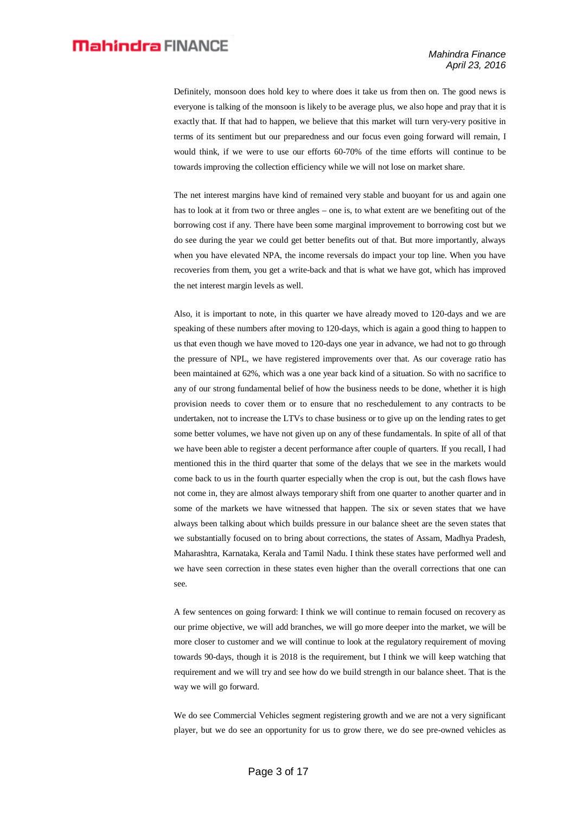Definitely, monsoon does hold key to where does it take us from then on. The good news is everyone is talking of the monsoon is likely to be average plus, we also hope and pray that it is exactly that. If that had to happen, we believe that this market will turn very-very positive in terms of its sentiment but our preparedness and our focus even going forward will remain, I would think, if we were to use our efforts 60-70% of the time efforts will continue to be towards improving the collection efficiency while we will not lose on market share.

The net interest margins have kind of remained very stable and buoyant for us and again one has to look at it from two or three angles – one is, to what extent are we benefiting out of the borrowing cost if any. There have been some marginal improvement to borrowing cost but we do see during the year we could get better benefits out of that. But more importantly, always when you have elevated NPA, the income reversals do impact your top line. When you have recoveries from them, you get a write-back and that is what we have got, which has improved the net interest margin levels as well.

Also, it is important to note, in this quarter we have already moved to 120-days and we are speaking of these numbers after moving to 120-days, which is again a good thing to happen to us that even though we have moved to 120-days one year in advance, we had not to go through the pressure of NPL, we have registered improvements over that. As our coverage ratio has been maintained at 62%, which was a one year back kind of a situation. So with no sacrifice to any of our strong fundamental belief of how the business needs to be done, whether it is high provision needs to cover them or to ensure that no reschedulement to any contracts to be undertaken, not to increase the LTVs to chase business or to give up on the lending rates to get some better volumes, we have not given up on any of these fundamentals. In spite of all of that we have been able to register a decent performance after couple of quarters. If you recall, I had mentioned this in the third quarter that some of the delays that we see in the markets would come back to us in the fourth quarter especially when the crop is out, but the cash flows have not come in, they are almost always temporary shift from one quarter to another quarter and in some of the markets we have witnessed that happen. The six or seven states that we have always been talking about which builds pressure in our balance sheet are the seven states that we substantially focused on to bring about corrections, the states of Assam, Madhya Pradesh, Maharashtra, Karnataka, Kerala and Tamil Nadu. I think these states have performed well and we have seen correction in these states even higher than the overall corrections that one can see.

A few sentences on going forward: I think we will continue to remain focused on recovery as our prime objective, we will add branches, we will go more deeper into the market, we will be more closer to customer and we will continue to look at the regulatory requirement of moving towards 90-days, though it is 2018 is the requirement, but I think we will keep watching that requirement and we will try and see how do we build strength in our balance sheet. That is the way we will go forward.

We do see Commercial Vehicles segment registering growth and we are not a very significant player, but we do see an opportunity for us to grow there, we do see pre-owned vehicles as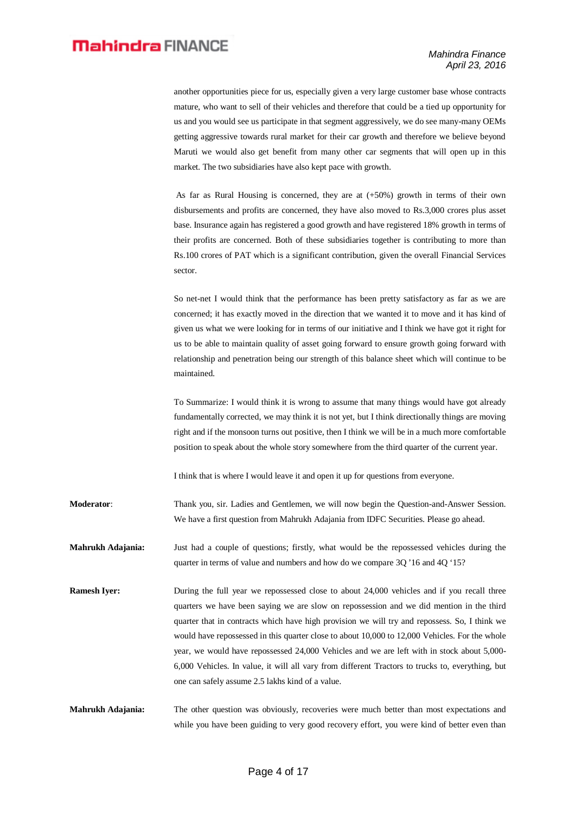another opportunities piece for us, especially given a very large customer base whose contracts mature, who want to sell of their vehicles and therefore that could be a tied up opportunity for us and you would see us participate in that segment aggressively, we do see many-many OEMs getting aggressive towards rural market for their car growth and therefore we believe beyond Maruti we would also get benefit from many other car segments that will open up in this market. The two subsidiaries have also kept pace with growth.

As far as Rural Housing is concerned, they are at (+50%) growth in terms of their own disbursements and profits are concerned, they have also moved to Rs.3,000 crores plus asset base. Insurance again has registered a good growth and have registered 18% growth in terms of their profits are concerned. Both of these subsidiaries together is contributing to more than Rs.100 crores of PAT which is a significant contribution, given the overall Financial Services sector.

So net-net I would think that the performance has been pretty satisfactory as far as we are concerned; it has exactly moved in the direction that we wanted it to move and it has kind of given us what we were looking for in terms of our initiative and I think we have got it right for us to be able to maintain quality of asset going forward to ensure growth going forward with relationship and penetration being our strength of this balance sheet which will continue to be maintained.

To Summarize: I would think it is wrong to assume that many things would have got already fundamentally corrected, we may think it is not yet, but I think directionally things are moving right and if the monsoon turns out positive, then I think we will be in a much more comfortable position to speak about the whole story somewhere from the third quarter of the current year.

I think that is where I would leave it and open it up for questions from everyone.

**Moderator**: Thank you, sir. Ladies and Gentlemen, we will now begin the Question-and-Answer Session. We have a first question from Mahrukh Adajania from IDFC Securities. Please go ahead.

**Mahrukh Adajania:** Just had a couple of questions; firstly, what would be the repossessed vehicles during the quarter in terms of value and numbers and how do we compare 3Q '16 and 4Q '15?

**Ramesh Iyer:** During the full year we repossessed close to about 24,000 vehicles and if you recall three quarters we have been saying we are slow on repossession and we did mention in the third quarter that in contracts which have high provision we will try and repossess. So, I think we would have repossessed in this quarter close to about 10,000 to 12,000 Vehicles. For the whole year, we would have repossessed 24,000 Vehicles and we are left with in stock about 5,000- 6,000 Vehicles. In value, it will all vary from different Tractors to trucks to, everything, but one can safely assume 2.5 lakhs kind of a value.

**Mahrukh Adajania:** The other question was obviously, recoveries were much better than most expectations and while you have been guiding to very good recovery effort, you were kind of better even than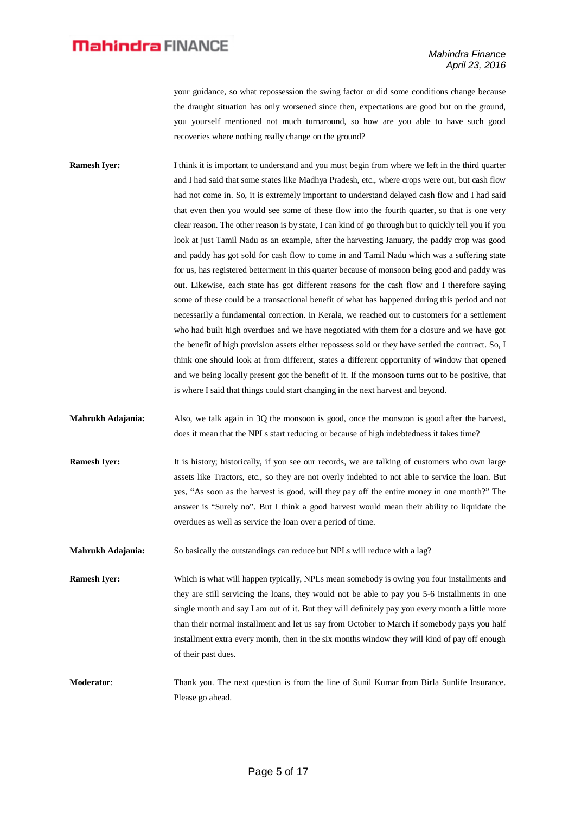your guidance, so what repossession the swing factor or did some conditions change because the draught situation has only worsened since then, expectations are good but on the ground, you yourself mentioned not much turnaround, so how are you able to have such good recoveries where nothing really change on the ground?

- **Ramesh Iver:** I think it is important to understand and you must begin from where we left in the third quarter and I had said that some states like Madhya Pradesh, etc., where crops were out, but cash flow had not come in. So, it is extremely important to understand delayed cash flow and I had said that even then you would see some of these flow into the fourth quarter, so that is one very clear reason. The other reason is by state, I can kind of go through but to quickly tell you if you look at just Tamil Nadu as an example, after the harvesting January, the paddy crop was good and paddy has got sold for cash flow to come in and Tamil Nadu which was a suffering state for us, has registered betterment in this quarter because of monsoon being good and paddy was out. Likewise, each state has got different reasons for the cash flow and I therefore saying some of these could be a transactional benefit of what has happened during this period and not necessarily a fundamental correction. In Kerala, we reached out to customers for a settlement who had built high overdues and we have negotiated with them for a closure and we have got the benefit of high provision assets either repossess sold or they have settled the contract. So, I think one should look at from different, states a different opportunity of window that opened and we being locally present got the benefit of it. If the monsoon turns out to be positive, that is where I said that things could start changing in the next harvest and beyond.
- **Mahrukh Adajania:** Also, we talk again in 3Q the monsoon is good, once the monsoon is good after the harvest, does it mean that the NPLs start reducing or because of high indebtedness it takes time?
- **Ramesh Iyer:** It is history; historically, if you see our records, we are talking of customers who own large assets like Tractors, etc., so they are not overly indebted to not able to service the loan. But yes, "As soon as the harvest is good, will they pay off the entire money in one month?" The answer is "Surely no". But I think a good harvest would mean their ability to liquidate the overdues as well as service the loan over a period of time.
- **Mahrukh Adajania:** So basically the outstandings can reduce but NPLs will reduce with a lag?
- **Ramesh Iyer:** Which is what will happen typically, NPLs mean somebody is owing you four installments and they are still servicing the loans, they would not be able to pay you 5-6 installments in one single month and say I am out of it. But they will definitely pay you every month a little more than their normal installment and let us say from October to March if somebody pays you half installment extra every month, then in the six months window they will kind of pay off enough of their past dues.
- **Moderator**: Thank you. The next question is from the line of Sunil Kumar from Birla Sunlife Insurance. Please go ahead.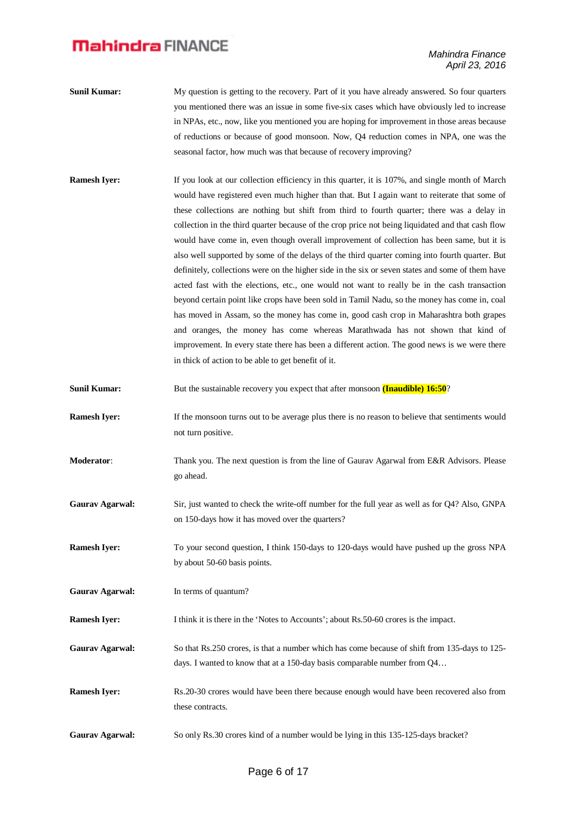- **Sunil Kumar:** My question is getting to the recovery. Part of it you have already answered. So four quarters you mentioned there was an issue in some five-six cases which have obviously led to increase in NPAs, etc., now, like you mentioned you are hoping for improvement in those areas because of reductions or because of good monsoon. Now, Q4 reduction comes in NPA, one was the seasonal factor, how much was that because of recovery improving?
- **Ramesh Iyer:** If you look at our collection efficiency in this quarter, it is 107%, and single month of March would have registered even much higher than that. But I again want to reiterate that some of these collections are nothing but shift from third to fourth quarter; there was a delay in collection in the third quarter because of the crop price not being liquidated and that cash flow would have come in, even though overall improvement of collection has been same, but it is also well supported by some of the delays of the third quarter coming into fourth quarter. But definitely, collections were on the higher side in the six or seven states and some of them have acted fast with the elections, etc., one would not want to really be in the cash transaction beyond certain point like crops have been sold in Tamil Nadu, so the money has come in, coal has moved in Assam, so the money has come in, good cash crop in Maharashtra both grapes and oranges, the money has come whereas Marathwada has not shown that kind of improvement. In every state there has been a different action. The good news is we were there in thick of action to be able to get benefit of it.
- **Sunil Kumar:** But the sustainable recovery you expect that after monsoon **(Inaudible) 16:50**?
- **Ramesh Iyer:** If the monsoon turns out to be average plus there is no reason to believe that sentiments would not turn positive.
- **Moderator**: Thank you. The next question is from the line of Gaurav Agarwal from E&R Advisors. Please go ahead.
- **Gaurav Agarwal:** Sir, just wanted to check the write-off number for the full year as well as for Q4? Also, GNPA on 150-days how it has moved over the quarters?
- **Ramesh Iver:** To your second question, I think 150-days to 120-days would have pushed up the gross NPA by about 50-60 basis points.
- Gaurav Agarwal: In terms of quantum?

**Ramesh Iyer:** I think it is there in the 'Notes to Accounts'; about Rs.50-60 crores is the impact.

- **Gaurav Agarwal:** So that Rs.250 crores, is that a number which has come because of shift from 135-days to 125 days. I wanted to know that at a 150-day basis comparable number from Q4…
- **Ramesh Iyer:** Rs.20-30 crores would have been there because enough would have been recovered also from these contracts.
- Gaurav Agarwal: So only Rs.30 crores kind of a number would be lying in this 135-125-days bracket?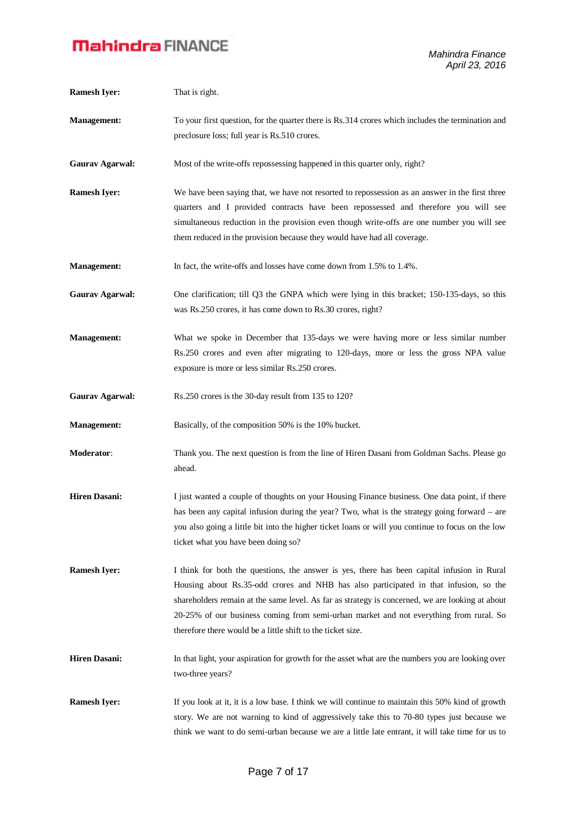| <b>Ramesh Iyer:</b>    | That is right.                                                                                                                                                                                                                                                                                                                                                                                                                                   |
|------------------------|--------------------------------------------------------------------------------------------------------------------------------------------------------------------------------------------------------------------------------------------------------------------------------------------------------------------------------------------------------------------------------------------------------------------------------------------------|
| <b>Management:</b>     | To your first question, for the quarter there is Rs.314 crores which includes the termination and<br>preclosure loss; full year is Rs.510 crores.                                                                                                                                                                                                                                                                                                |
| <b>Gaurav Agarwal:</b> | Most of the write-offs repossessing happened in this quarter only, right?                                                                                                                                                                                                                                                                                                                                                                        |
| <b>Ramesh Iyer:</b>    | We have been saying that, we have not resorted to repossession as an answer in the first three<br>quarters and I provided contracts have been repossessed and therefore you will see<br>simultaneous reduction in the provision even though write-offs are one number you will see<br>them reduced in the provision because they would have had all coverage.                                                                                    |
| <b>Management:</b>     | In fact, the write-offs and losses have come down from 1.5% to 1.4%.                                                                                                                                                                                                                                                                                                                                                                             |
| <b>Gaurav Agarwal:</b> | One clarification; till Q3 the GNPA which were lying in this bracket; 150-135-days, so this<br>was Rs.250 crores, it has come down to Rs.30 crores, right?                                                                                                                                                                                                                                                                                       |
| <b>Management:</b>     | What we spoke in December that 135-days we were having more or less similar number<br>Rs.250 crores and even after migrating to 120-days, more or less the gross NPA value<br>exposure is more or less similar Rs.250 crores.                                                                                                                                                                                                                    |
| <b>Gaurav Agarwal:</b> | Rs.250 crores is the 30-day result from 135 to 120?                                                                                                                                                                                                                                                                                                                                                                                              |
| <b>Management:</b>     | Basically, of the composition 50% is the 10% bucket.                                                                                                                                                                                                                                                                                                                                                                                             |
| Moderator:             | Thank you. The next question is from the line of Hiren Dasani from Goldman Sachs. Please go<br>ahead.                                                                                                                                                                                                                                                                                                                                            |
| <b>Hiren Dasani:</b>   | I just wanted a couple of thoughts on your Housing Finance business. One data point, if there<br>has been any capital infusion during the year? Two, what is the strategy going forward – are<br>you also going a little bit into the higher ticket loans or will you continue to focus on the low<br>ticket what you have been doing so?                                                                                                        |
| <b>Ramesh Iyer:</b>    | I think for both the questions, the answer is yes, there has been capital infusion in Rural<br>Housing about Rs.35-odd crores and NHB has also participated in that infusion, so the<br>shareholders remain at the same level. As far as strategy is concerned, we are looking at about<br>20-25% of our business coming from semi-urban market and not everything from rural. So<br>therefore there would be a little shift to the ticket size. |
| <b>Hiren Dasani:</b>   | In that light, your aspiration for growth for the asset what are the numbers you are looking over<br>two-three years?                                                                                                                                                                                                                                                                                                                            |
| <b>Ramesh Iyer:</b>    | If you look at it, it is a low base. I think we will continue to maintain this 50% kind of growth<br>story. We are not warning to kind of aggressively take this to 70-80 types just because we<br>think we want to do semi-urban because we are a little late entrant, it will take time for us to                                                                                                                                              |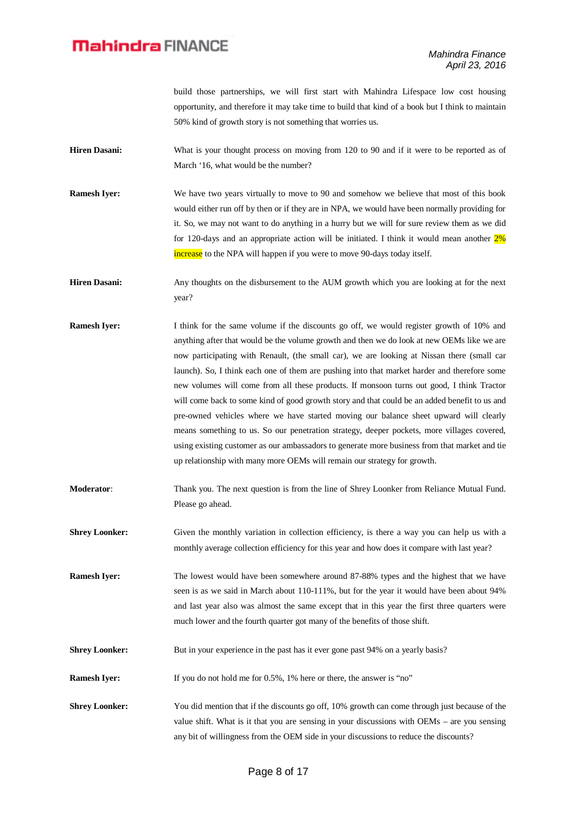build those partnerships, we will first start with Mahindra Lifespace low cost housing opportunity, and therefore it may take time to build that kind of a book but I think to maintain 50% kind of growth story is not something that worries us.

- **Hiren Dasani:** What is your thought process on moving from 120 to 90 and if it were to be reported as of March '16, what would be the number?
- **Ramesh Iyer:** We have two years virtually to move to 90 and somehow we believe that most of this book would either run off by then or if they are in NPA, we would have been normally providing for it. So, we may not want to do anything in a hurry but we will for sure review them as we did for 120-days and an appropriate action will be initiated. I think it would mean another 2% increase to the NPA will happen if you were to move 90-days today itself.

**Hiren Dasani:** Any thoughts on the disbursement to the AUM growth which you are looking at for the next year?

- **Ramesh Iyer:** I think for the same volume if the discounts go off, we would register growth of 10% and anything after that would be the volume growth and then we do look at new OEMs like we are now participating with Renault, (the small car), we are looking at Nissan there (small car launch). So, I think each one of them are pushing into that market harder and therefore some new volumes will come from all these products. If monsoon turns out good, I think Tractor will come back to some kind of good growth story and that could be an added benefit to us and pre-owned vehicles where we have started moving our balance sheet upward will clearly means something to us. So our penetration strategy, deeper pockets, more villages covered, using existing customer as our ambassadors to generate more business from that market and tie up relationship with many more OEMs will remain our strategy for growth.
- **Moderator**: Thank you. The next question is from the line of Shrey Loonker from Reliance Mutual Fund. Please go ahead.

**Shrey Loonker:** Given the monthly variation in collection efficiency, is there a way you can help us with a monthly average collection efficiency for this year and how does it compare with last year?

**Ramesh Iyer:** The lowest would have been somewhere around 87-88% types and the highest that we have seen is as we said in March about 110-111%, but for the year it would have been about 94% and last year also was almost the same except that in this year the first three quarters were much lower and the fourth quarter got many of the benefits of those shift.

**Shrey Loonker:** But in your experience in the past has it ever gone past 94% on a yearly basis?

**Ramesh Iyer:** If you do not hold me for 0.5%, 1% here or there, the answer is "no"

**Shrey Loonker:** You did mention that if the discounts go off, 10% growth can come through just because of the value shift. What is it that you are sensing in your discussions with OEMs – are you sensing any bit of willingness from the OEM side in your discussions to reduce the discounts?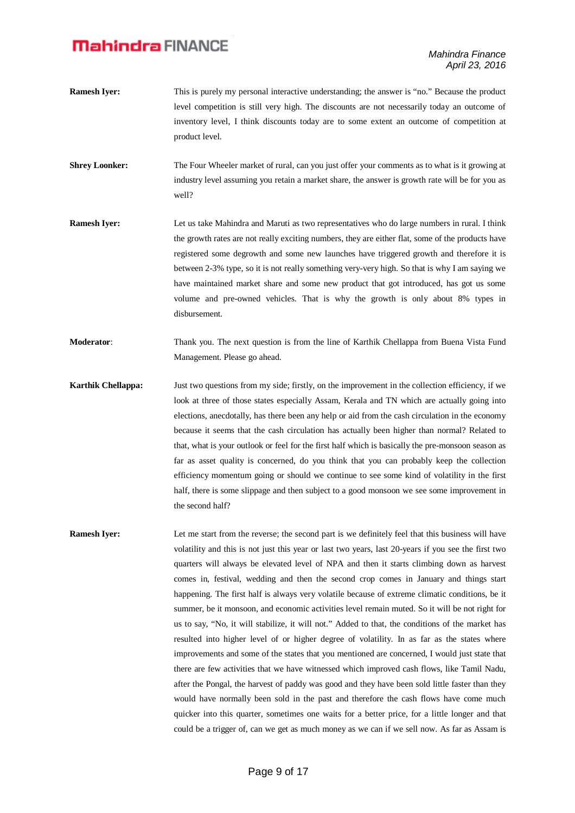- **Ramesh Iyer:** This is purely my personal interactive understanding; the answer is "no." Because the product level competition is still very high. The discounts are not necessarily today an outcome of inventory level, I think discounts today are to some extent an outcome of competition at product level.
- **Shrey Loonker:** The Four Wheeler market of rural, can you just offer your comments as to what is it growing at industry level assuming you retain a market share, the answer is growth rate will be for you as well?
- **Ramesh Iyer:** Let us take Mahindra and Maruti as two representatives who do large numbers in rural. I think the growth rates are not really exciting numbers, they are either flat, some of the products have registered some degrowth and some new launches have triggered growth and therefore it is between 2-3% type, so it is not really something very-very high. So that is why I am saying we have maintained market share and some new product that got introduced, has got us some volume and pre-owned vehicles. That is why the growth is only about 8% types in disbursement.
- **Moderator**: Thank you. The next question is from the line of Karthik Chellappa from Buena Vista Fund Management. Please go ahead.
- **Karthik Chellappa:** Just two questions from my side; firstly, on the improvement in the collection efficiency, if we look at three of those states especially Assam, Kerala and TN which are actually going into elections, anecdotally, has there been any help or aid from the cash circulation in the economy because it seems that the cash circulation has actually been higher than normal? Related to that, what is your outlook or feel for the first half which is basically the pre-monsoon season as far as asset quality is concerned, do you think that you can probably keep the collection efficiency momentum going or should we continue to see some kind of volatility in the first half, there is some slippage and then subject to a good monsoon we see some improvement in the second half?
- **Ramesh Iver:** Let me start from the reverse; the second part is we definitely feel that this business will have volatility and this is not just this year or last two years, last 20-years if you see the first two quarters will always be elevated level of NPA and then it starts climbing down as harvest comes in, festival, wedding and then the second crop comes in January and things start happening. The first half is always very volatile because of extreme climatic conditions, be it summer, be it monsoon, and economic activities level remain muted. So it will be not right for us to say, "No, it will stabilize, it will not." Added to that, the conditions of the market has resulted into higher level of or higher degree of volatility. In as far as the states where improvements and some of the states that you mentioned are concerned, I would just state that there are few activities that we have witnessed which improved cash flows, like Tamil Nadu, after the Pongal, the harvest of paddy was good and they have been sold little faster than they would have normally been sold in the past and therefore the cash flows have come much quicker into this quarter, sometimes one waits for a better price, for a little longer and that could be a trigger of, can we get as much money as we can if we sell now. As far as Assam is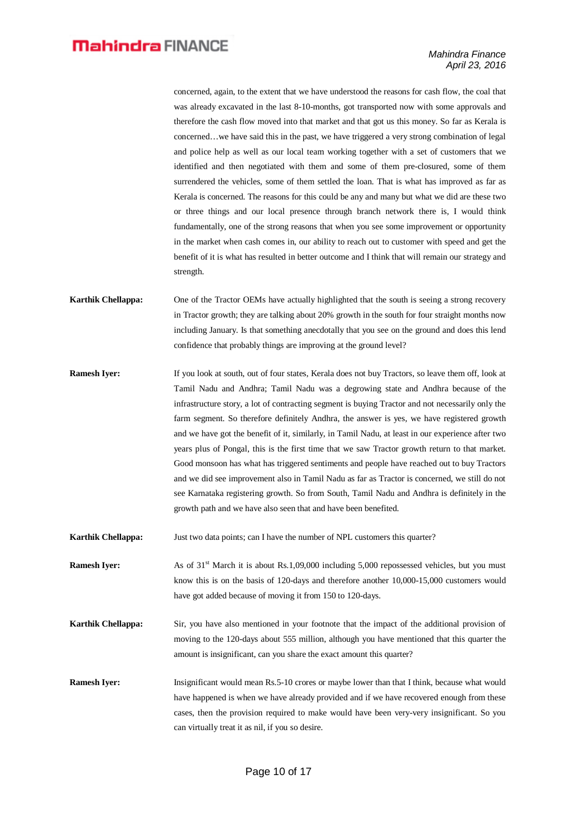concerned, again, to the extent that we have understood the reasons for cash flow, the coal that was already excavated in the last 8-10-months, got transported now with some approvals and therefore the cash flow moved into that market and that got us this money. So far as Kerala is concerned…we have said this in the past, we have triggered a very strong combination of legal and police help as well as our local team working together with a set of customers that we identified and then negotiated with them and some of them pre-closured, some of them surrendered the vehicles, some of them settled the loan. That is what has improved as far as Kerala is concerned. The reasons for this could be any and many but what we did are these two or three things and our local presence through branch network there is, I would think fundamentally, one of the strong reasons that when you see some improvement or opportunity in the market when cash comes in, our ability to reach out to customer with speed and get the benefit of it is what has resulted in better outcome and I think that will remain our strategy and strength.

- **Karthik Chellappa:** One of the Tractor OEMs have actually highlighted that the south is seeing a strong recovery in Tractor growth; they are talking about 20% growth in the south for four straight months now including January. Is that something anecdotally that you see on the ground and does this lend confidence that probably things are improving at the ground level?
- **Ramesh Iyer:** If you look at south, out of four states, Kerala does not buy Tractors, so leave them off, look at Tamil Nadu and Andhra; Tamil Nadu was a degrowing state and Andhra because of the infrastructure story, a lot of contracting segment is buying Tractor and not necessarily only the farm segment. So therefore definitely Andhra, the answer is yes, we have registered growth and we have got the benefit of it, similarly, in Tamil Nadu, at least in our experience after two years plus of Pongal, this is the first time that we saw Tractor growth return to that market. Good monsoon has what has triggered sentiments and people have reached out to buy Tractors and we did see improvement also in Tamil Nadu as far as Tractor is concerned, we still do not see Karnataka registering growth. So from South, Tamil Nadu and Andhra is definitely in the growth path and we have also seen that and have been benefited.

**Karthik Chellappa:** Just two data points; can I have the number of NPL customers this quarter?

**Ramesh Iyer:** As of 31<sup>st</sup> March it is about Rs.1,09,000 including 5,000 repossessed vehicles, but you must know this is on the basis of 120-days and therefore another 10,000-15,000 customers would have got added because of moving it from 150 to 120-days.

- **Karthik Chellappa:** Sir, you have also mentioned in your footnote that the impact of the additional provision of moving to the 120-days about 555 million, although you have mentioned that this quarter the amount is insignificant, can you share the exact amount this quarter?
- **Ramesh Iyer:** Insignificant would mean Rs.5-10 crores or maybe lower than that I think, because what would have happened is when we have already provided and if we have recovered enough from these cases, then the provision required to make would have been very-very insignificant. So you can virtually treat it as nil, if you so desire.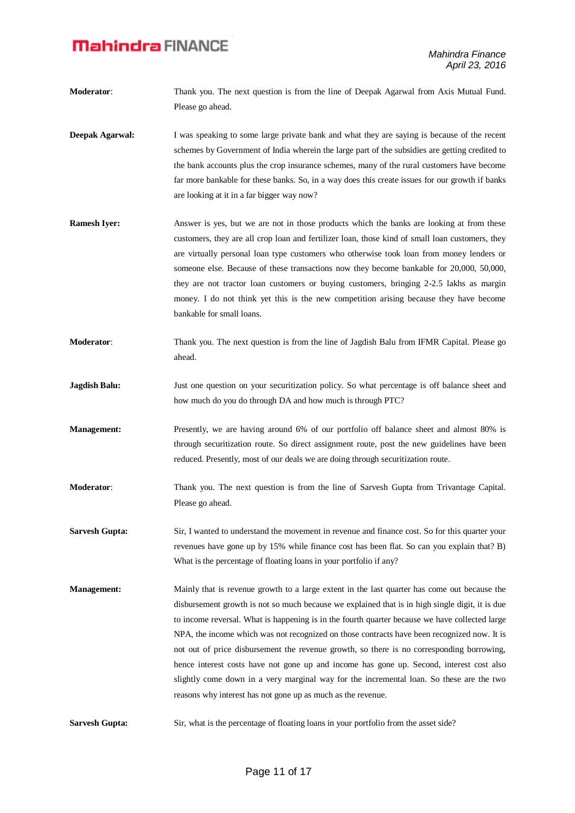- **Moderator**: Thank you. The next question is from the line of Deepak Agarwal from Axis Mutual Fund. Please go ahead.
- **Deepak Agarwal:** I was speaking to some large private bank and what they are saying is because of the recent schemes by Government of India wherein the large part of the subsidies are getting credited to the bank accounts plus the crop insurance schemes, many of the rural customers have become far more bankable for these banks. So, in a way does this create issues for our growth if banks are looking at it in a far bigger way now?
- **Ramesh Iyer:** Answer is yes, but we are not in those products which the banks are looking at from these customers, they are all crop loan and fertilizer loan, those kind of small loan customers, they are virtually personal loan type customers who otherwise took loan from money lenders or someone else. Because of these transactions now they become bankable for 20,000, 50,000, they are not tractor loan customers or buying customers, bringing 2-2.5 lakhs as margin money. I do not think yet this is the new competition arising because they have become bankable for small loans.
- **Moderator**: Thank you. The next question is from the line of Jagdish Balu from IFMR Capital. Please go ahead.
- **Jagdish Balu:** Just one question on your securitization policy. So what percentage is off balance sheet and how much do you do through DA and how much is through PTC?
- **Management:** Presently, we are having around 6% of our portfolio off balance sheet and almost 80% is through securitization route. So direct assignment route, post the new guidelines have been reduced. Presently, most of our deals we are doing through securitization route.
- **Moderator**: Thank you. The next question is from the line of Sarvesh Gupta from Trivantage Capital. Please go ahead.
- **Sarvesh Gupta:** Sir, I wanted to understand the movement in revenue and finance cost. So for this quarter your revenues have gone up by 15% while finance cost has been flat. So can you explain that? B) What is the percentage of floating loans in your portfolio if any?
- **Management:** Mainly that is revenue growth to a large extent in the last quarter has come out because the disbursement growth is not so much because we explained that is in high single digit, it is due to income reversal. What is happening is in the fourth quarter because we have collected large NPA, the income which was not recognized on those contracts have been recognized now. It is not out of price disbursement the revenue growth, so there is no corresponding borrowing, hence interest costs have not gone up and income has gone up. Second, interest cost also slightly come down in a very marginal way for the incremental loan. So these are the two reasons why interest has not gone up as much as the revenue.
- **Sarvesh Gupta:** Sir, what is the percentage of floating loans in your portfolio from the asset side?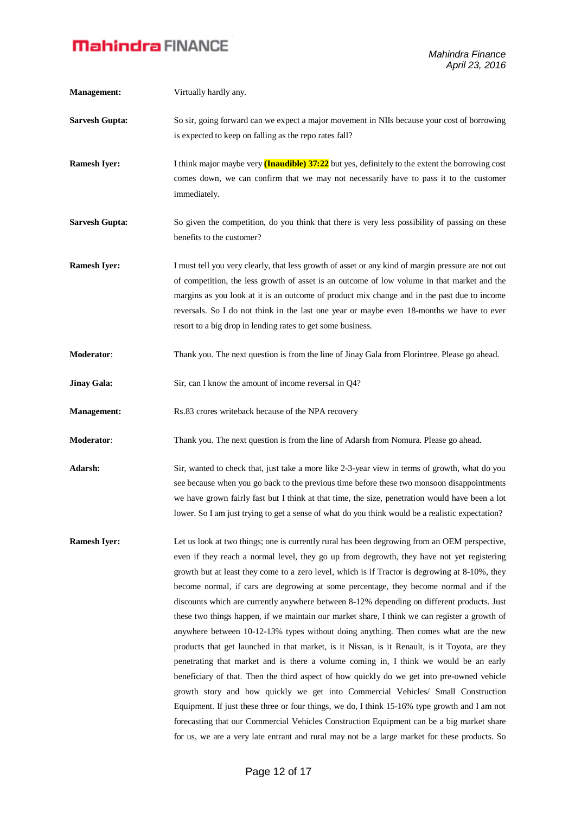| <b>Management:</b>    | Virtually hardly any.                                                                                                                                                                                                                                                                                                                                                                                                                                                                                                                                                                                                                                                                                                                                                                                                                                                                                                                                                                                                                                                                                                                                                                                                                                                                                                                                      |
|-----------------------|------------------------------------------------------------------------------------------------------------------------------------------------------------------------------------------------------------------------------------------------------------------------------------------------------------------------------------------------------------------------------------------------------------------------------------------------------------------------------------------------------------------------------------------------------------------------------------------------------------------------------------------------------------------------------------------------------------------------------------------------------------------------------------------------------------------------------------------------------------------------------------------------------------------------------------------------------------------------------------------------------------------------------------------------------------------------------------------------------------------------------------------------------------------------------------------------------------------------------------------------------------------------------------------------------------------------------------------------------------|
| <b>Sarvesh Gupta:</b> | So sir, going forward can we expect a major movement in NIIs because your cost of borrowing<br>is expected to keep on falling as the repo rates fall?                                                                                                                                                                                                                                                                                                                                                                                                                                                                                                                                                                                                                                                                                                                                                                                                                                                                                                                                                                                                                                                                                                                                                                                                      |
| <b>Ramesh Iyer:</b>   | I think major maybe very <b>(Inaudible)</b> $37:22$ but yes, definitely to the extent the borrowing cost<br>comes down, we can confirm that we may not necessarily have to pass it to the customer<br>immediately.                                                                                                                                                                                                                                                                                                                                                                                                                                                                                                                                                                                                                                                                                                                                                                                                                                                                                                                                                                                                                                                                                                                                         |
| <b>Sarvesh Gupta:</b> | So given the competition, do you think that there is very less possibility of passing on these<br>benefits to the customer?                                                                                                                                                                                                                                                                                                                                                                                                                                                                                                                                                                                                                                                                                                                                                                                                                                                                                                                                                                                                                                                                                                                                                                                                                                |
| <b>Ramesh Iyer:</b>   | I must tell you very clearly, that less growth of asset or any kind of margin pressure are not out<br>of competition, the less growth of asset is an outcome of low volume in that market and the<br>margins as you look at it is an outcome of product mix change and in the past due to income<br>reversals. So I do not think in the last one year or maybe even 18-months we have to ever<br>resort to a big drop in lending rates to get some business.                                                                                                                                                                                                                                                                                                                                                                                                                                                                                                                                                                                                                                                                                                                                                                                                                                                                                               |
| Moderator:            | Thank you. The next question is from the line of Jinay Gala from Florintree. Please go ahead.                                                                                                                                                                                                                                                                                                                                                                                                                                                                                                                                                                                                                                                                                                                                                                                                                                                                                                                                                                                                                                                                                                                                                                                                                                                              |
| <b>Jinay Gala:</b>    | Sir, can I know the amount of income reversal in Q4?                                                                                                                                                                                                                                                                                                                                                                                                                                                                                                                                                                                                                                                                                                                                                                                                                                                                                                                                                                                                                                                                                                                                                                                                                                                                                                       |
| <b>Management:</b>    | Rs.83 crores writeback because of the NPA recovery                                                                                                                                                                                                                                                                                                                                                                                                                                                                                                                                                                                                                                                                                                                                                                                                                                                                                                                                                                                                                                                                                                                                                                                                                                                                                                         |
| Moderator:            | Thank you. The next question is from the line of Adarsh from Nomura. Please go ahead.                                                                                                                                                                                                                                                                                                                                                                                                                                                                                                                                                                                                                                                                                                                                                                                                                                                                                                                                                                                                                                                                                                                                                                                                                                                                      |
| Adarsh:               | Sir, wanted to check that, just take a more like 2-3-year view in terms of growth, what do you<br>see because when you go back to the previous time before these two monsoon disappointments<br>we have grown fairly fast but I think at that time, the size, penetration would have been a lot<br>lower. So I am just trying to get a sense of what do you think would be a realistic expectation?                                                                                                                                                                                                                                                                                                                                                                                                                                                                                                                                                                                                                                                                                                                                                                                                                                                                                                                                                        |
| <b>Ramesh Iyer:</b>   | Let us look at two things; one is currently rural has been degrowing from an OEM perspective,<br>even if they reach a normal level, they go up from degrowth, they have not yet registering<br>growth but at least they come to a zero level, which is if Tractor is degrowing at 8-10%, they<br>become normal, if cars are degrowing at some percentage, they become normal and if the<br>discounts which are currently anywhere between 8-12% depending on different products. Just<br>these two things happen, if we maintain our market share, I think we can register a growth of<br>anywhere between 10-12-13% types without doing anything. Then comes what are the new<br>products that get launched in that market, is it Nissan, is it Renault, is it Toyota, are they<br>penetrating that market and is there a volume coming in, I think we would be an early<br>beneficiary of that. Then the third aspect of how quickly do we get into pre-owned vehicle<br>growth story and how quickly we get into Commercial Vehicles/ Small Construction<br>Equipment. If just these three or four things, we do, I think 15-16% type growth and I am not<br>forecasting that our Commercial Vehicles Construction Equipment can be a big market share<br>for us, we are a very late entrant and rural may not be a large market for these products. So |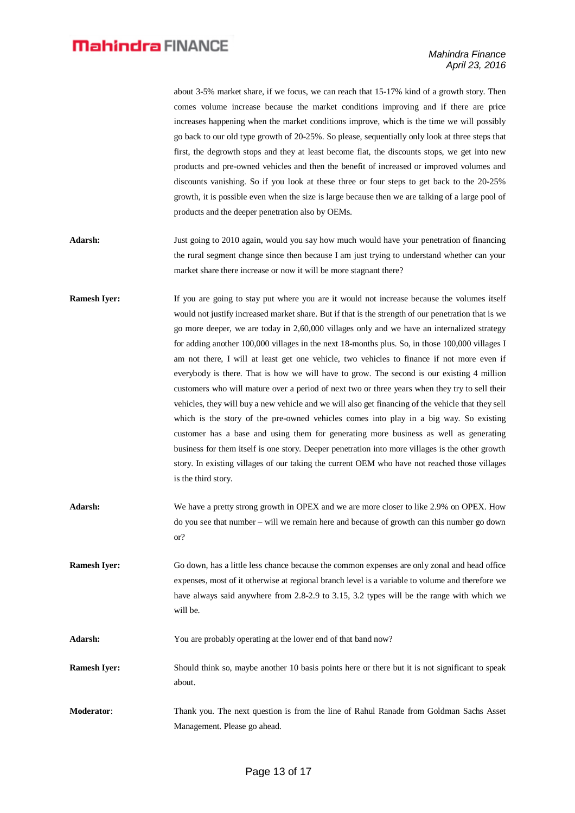|                     | about 3-5% market share, if we focus, we can reach that 15-17% kind of a growth story. Then<br>comes volume increase because the market conditions improving and if there are price<br>increases happening when the market conditions improve, which is the time we will possibly<br>go back to our old type growth of 20-25%. So please, sequentially only look at three steps that<br>first, the degrowth stops and they at least become flat, the discounts stops, we get into new<br>products and pre-owned vehicles and then the benefit of increased or improved volumes and<br>discounts vanishing. So if you look at these three or four steps to get back to the 20-25%<br>growth, it is possible even when the size is large because then we are talking of a large pool of<br>products and the deeper penetration also by OEMs.                                                                                                                                                                                                                                                                                                                                                                              |
|---------------------|-------------------------------------------------------------------------------------------------------------------------------------------------------------------------------------------------------------------------------------------------------------------------------------------------------------------------------------------------------------------------------------------------------------------------------------------------------------------------------------------------------------------------------------------------------------------------------------------------------------------------------------------------------------------------------------------------------------------------------------------------------------------------------------------------------------------------------------------------------------------------------------------------------------------------------------------------------------------------------------------------------------------------------------------------------------------------------------------------------------------------------------------------------------------------------------------------------------------------|
| Adarsh:             | Just going to 2010 again, would you say how much would have your penetration of financing<br>the rural segment change since then because I am just trying to understand whether can your<br>market share there increase or now it will be more stagnant there?                                                                                                                                                                                                                                                                                                                                                                                                                                                                                                                                                                                                                                                                                                                                                                                                                                                                                                                                                          |
| <b>Ramesh Iyer:</b> | If you are going to stay put where you are it would not increase because the volumes itself<br>would not justify increased market share. But if that is the strength of our penetration that is we<br>go more deeper, we are today in 2,60,000 villages only and we have an internalized strategy<br>for adding another 100,000 villages in the next 18-months plus. So, in those 100,000 villages I<br>am not there, I will at least get one vehicle, two vehicles to finance if not more even if<br>everybody is there. That is how we will have to grow. The second is our existing 4 million<br>customers who will mature over a period of next two or three years when they try to sell their<br>vehicles, they will buy a new vehicle and we will also get financing of the vehicle that they sell<br>which is the story of the pre-owned vehicles comes into play in a big way. So existing<br>customer has a base and using them for generating more business as well as generating<br>business for them itself is one story. Deeper penetration into more villages is the other growth<br>story. In existing villages of our taking the current OEM who have not reached those villages<br>is the third story. |
| <b>Adarsh:</b>      | We have a pretty strong growth in OPEX and we are more closer to like 2.9% on OPEX. How<br>do you see that number – will we remain here and because of growth can this number go down<br>or?                                                                                                                                                                                                                                                                                                                                                                                                                                                                                                                                                                                                                                                                                                                                                                                                                                                                                                                                                                                                                            |
| <b>Ramesh Iyer:</b> | Go down, has a little less chance because the common expenses are only zonal and head office<br>expenses, most of it otherwise at regional branch level is a variable to volume and therefore we<br>have always said anywhere from 2.8-2.9 to 3.15, 3.2 types will be the range with which we<br>will be.                                                                                                                                                                                                                                                                                                                                                                                                                                                                                                                                                                                                                                                                                                                                                                                                                                                                                                               |
| Adarsh:             | You are probably operating at the lower end of that band now?                                                                                                                                                                                                                                                                                                                                                                                                                                                                                                                                                                                                                                                                                                                                                                                                                                                                                                                                                                                                                                                                                                                                                           |
| <b>Ramesh Iyer:</b> | Should think so, maybe another 10 basis points here or there but it is not significant to speak<br>about.                                                                                                                                                                                                                                                                                                                                                                                                                                                                                                                                                                                                                                                                                                                                                                                                                                                                                                                                                                                                                                                                                                               |
| Moderator:          | Thank you. The next question is from the line of Rahul Ranade from Goldman Sachs Asset<br>Management. Please go ahead.                                                                                                                                                                                                                                                                                                                                                                                                                                                                                                                                                                                                                                                                                                                                                                                                                                                                                                                                                                                                                                                                                                  |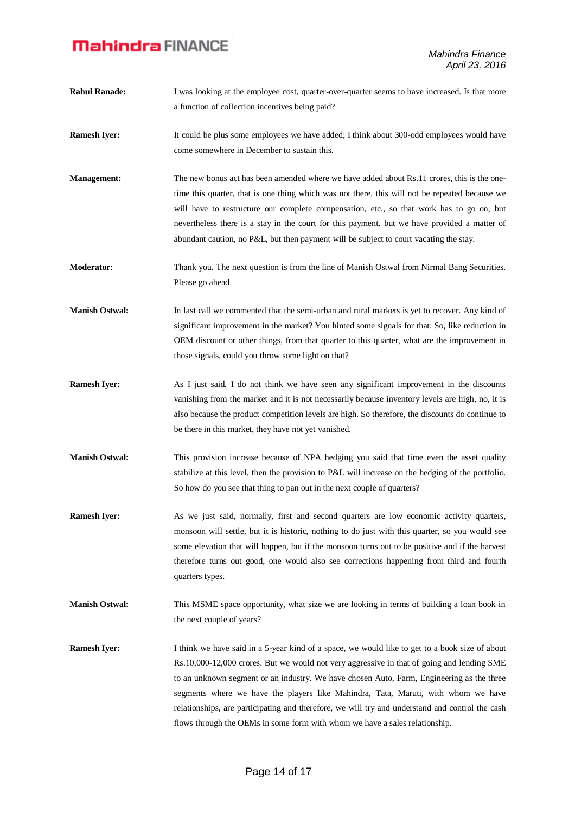- **Rahul Ranade:** I was looking at the employee cost, quarter-over-quarter seems to have increased. Is that more a function of collection incentives being paid?
- **Ramesh Iver:** It could be plus some employees we have added; I think about 300-odd employees would have come somewhere in December to sustain this.
- **Management:** The new bonus act has been amended where we have added about Rs.11 crores, this is the onetime this quarter, that is one thing which was not there, this will not be repeated because we will have to restructure our complete compensation, etc., so that work has to go on, but nevertheless there is a stay in the court for this payment, but we have provided a matter of abundant caution, no P&L, but then payment will be subject to court vacating the stay.
- **Moderator:** Thank you. The next question is from the line of Manish Ostwal from Nirmal Bang Securities. Please go ahead.
- **Manish Ostwal:** In last call we commented that the semi-urban and rural markets is yet to recover. Any kind of significant improvement in the market? You hinted some signals for that. So, like reduction in OEM discount or other things, from that quarter to this quarter, what are the improvement in those signals, could you throw some light on that?
- **Ramesh Iyer:** As I just said, I do not think we have seen any significant improvement in the discounts vanishing from the market and it is not necessarily because inventory levels are high, no, it is also because the product competition levels are high. So therefore, the discounts do continue to be there in this market, they have not yet vanished.
- **Manish Ostwal:** This provision increase because of NPA hedging you said that time even the asset quality stabilize at this level, then the provision to P&L will increase on the hedging of the portfolio. So how do you see that thing to pan out in the next couple of quarters?
- **Ramesh Iyer:** As we just said, normally, first and second quarters are low economic activity quarters, monsoon will settle, but it is historic, nothing to do just with this quarter, so you would see some elevation that will happen, but if the monsoon turns out to be positive and if the harvest therefore turns out good, one would also see corrections happening from third and fourth quarters types.
- **Manish Ostwal:** This MSME space opportunity, what size we are looking in terms of building a loan book in the next couple of years?
- **Ramesh Iyer:** I think we have said in a 5-year kind of a space, we would like to get to a book size of about Rs.10,000-12,000 crores. But we would not very aggressive in that of going and lending SME to an unknown segment or an industry. We have chosen Auto, Farm, Engineering as the three segments where we have the players like Mahindra, Tata, Maruti, with whom we have relationships, are participating and therefore, we will try and understand and control the cash flows through the OEMs in some form with whom we have a sales relationship.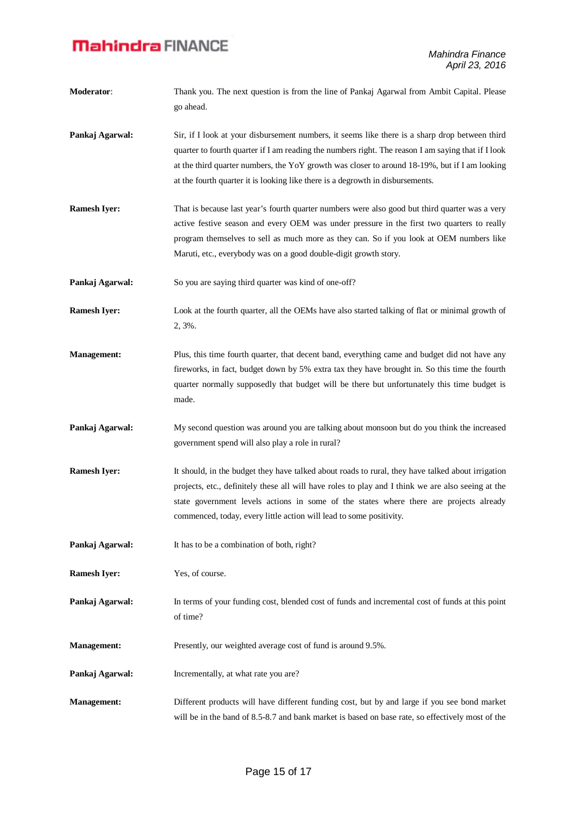**Moderator**: Thank you. The next question is from the line of Pankaj Agarwal from Ambit Capital. Please go ahead. **Pankaj Agarwal:** Sir, if I look at your disbursement numbers, it seems like there is a sharp drop between third quarter to fourth quarter if I am reading the numbers right. The reason I am saying that if I look at the third quarter numbers, the YoY growth was closer to around 18-19%, but if I am looking at the fourth quarter it is looking like there is a degrowth in disbursements. **Ramesh Iver:** That is because last year's fourth quarter numbers were also good but third quarter was a very active festive season and every OEM was under pressure in the first two quarters to really program themselves to sell as much more as they can. So if you look at OEM numbers like Maruti, etc., everybody was on a good double-digit growth story. **Pankaj Agarwal:** So you are saying third quarter was kind of one-off? **Ramesh Iyer:** Look at the fourth quarter, all the OEMs have also started talking of flat or minimal growth of 2, 3%. **Management:** Plus, this time fourth quarter, that decent band, everything came and budget did not have any fireworks, in fact, budget down by 5% extra tax they have brought in. So this time the fourth quarter normally supposedly that budget will be there but unfortunately this time budget is made. **Pankaj Agarwal:** My second question was around you are talking about monsoon but do you think the increased government spend will also play a role in rural? **Ramesh Iyer:** It should, in the budget they have talked about roads to rural, they have talked about irrigation projects, etc., definitely these all will have roles to play and I think we are also seeing at the state government levels actions in some of the states where there are projects already commenced, today, every little action will lead to some positivity. **Pankaj Agarwal:** It has to be a combination of both, right? **Ramesh Iyer:** Yes, of course. **Pankaj Agarwal:** In terms of your funding cost, blended cost of funds and incremental cost of funds at this point of time? **Management:** Presently, our weighted average cost of fund is around 9.5%. **Pankaj Agarwal:** Incrementally, at what rate you are? **Management:** Different products will have different funding cost, but by and large if you see bond market will be in the band of 8.5-8.7 and bank market is based on base rate, so effectively most of the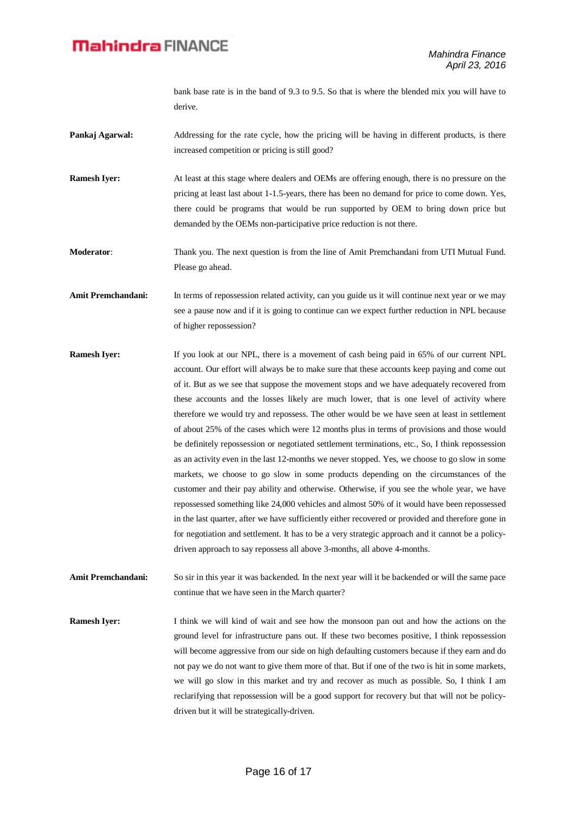bank base rate is in the band of 9.3 to 9.5. So that is where the blended mix you will have to derive.

- **Pankaj Agarwal:** Addressing for the rate cycle, how the pricing will be having in different products, is there increased competition or pricing is still good?
- **Ramesh Iyer:** At least at this stage where dealers and OEMs are offering enough, there is no pressure on the pricing at least last about 1-1.5-years, there has been no demand for price to come down. Yes, there could be programs that would be run supported by OEM to bring down price but demanded by the OEMs non-participative price reduction is not there.

**Moderator**: Thank you. The next question is from the line of Amit Premchandani from UTI Mutual Fund. Please go ahead.

**Amit Premchandani:** In terms of repossession related activity, can you guide us it will continue next year or we may see a pause now and if it is going to continue can we expect further reduction in NPL because of higher repossession?

**Ramesh Iyer:** If you look at our NPL, there is a movement of cash being paid in 65% of our current NPL account. Our effort will always be to make sure that these accounts keep paying and come out of it. But as we see that suppose the movement stops and we have adequately recovered from these accounts and the losses likely are much lower, that is one level of activity where therefore we would try and repossess. The other would be we have seen at least in settlement of about 25% of the cases which were 12 months plus in terms of provisions and those would be definitely repossession or negotiated settlement terminations, etc., So, I think repossession as an activity even in the last 12-months we never stopped. Yes, we choose to go slow in some markets, we choose to go slow in some products depending on the circumstances of the customer and their pay ability and otherwise. Otherwise, if you see the whole year, we have repossessed something like 24,000 vehicles and almost 50% of it would have been repossessed in the last quarter, after we have sufficiently either recovered or provided and therefore gone in for negotiation and settlement. It has to be a very strategic approach and it cannot be a policydriven approach to say repossess all above 3-months, all above 4-months.

**Amit Premchandani:** So sir in this year it was backended. In the next year will it be backended or will the same pace continue that we have seen in the March quarter?

**Ramesh Iver:** I think we will kind of wait and see how the monsoon pan out and how the actions on the ground level for infrastructure pans out. If these two becomes positive, I think repossession will become aggressive from our side on high defaulting customers because if they earn and do not pay we do not want to give them more of that. But if one of the two is hit in some markets, we will go slow in this market and try and recover as much as possible. So, I think I am reclarifying that repossession will be a good support for recovery but that will not be policydriven but it will be strategically-driven.